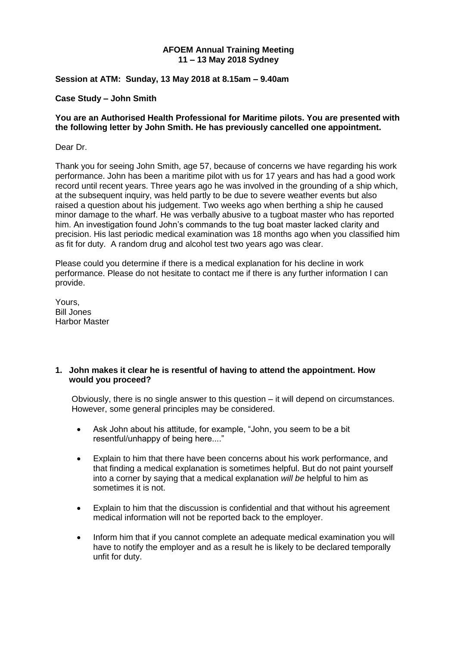#### **AFOEM Annual Training Meeting 11 – 13 May 2018 Sydney**

#### **Session at ATM: Sunday, 13 May 2018 at 8.15am – 9.40am**

#### **Case Study – John Smith**

#### **You are an Authorised Health Professional for Maritime pilots. You are presented with the following letter by John Smith. He has previously cancelled one appointment.**

#### Dear Dr.

Thank you for seeing John Smith, age 57, because of concerns we have regarding his work performance. John has been a maritime pilot with us for 17 years and has had a good work record until recent years. Three years ago he was involved in the grounding of a ship which, at the subsequent inquiry, was held partly to be due to severe weather events but also raised a question about his judgement. Two weeks ago when berthing a ship he caused minor damage to the wharf. He was verbally abusive to a tugboat master who has reported him. An investigation found John's commands to the tug boat master lacked clarity and precision. His last periodic medical examination was 18 months ago when you classified him as fit for duty. A random drug and alcohol test two years ago was clear.

Please could you determine if there is a medical explanation for his decline in work performance. Please do not hesitate to contact me if there is any further information I can provide.

Yours, Bill Jones Harbor Master

#### **1. John makes it clear he is resentful of having to attend the appointment. How would you proceed?**

Obviously, there is no single answer to this question – it will depend on circumstances. However, some general principles may be considered.

- Ask John about his attitude, for example, "John, you seem to be a bit resentful/unhappy of being here...."
- Explain to him that there have been concerns about his work performance, and that finding a medical explanation is sometimes helpful. But do not paint yourself into a corner by saying that a medical explanation *will be* helpful to him as sometimes it is not.
- Explain to him that the discussion is confidential and that without his agreement medical information will not be reported back to the employer.
- Inform him that if you cannot complete an adequate medical examination you will have to notify the employer and as a result he is likely to be declared temporally unfit for duty.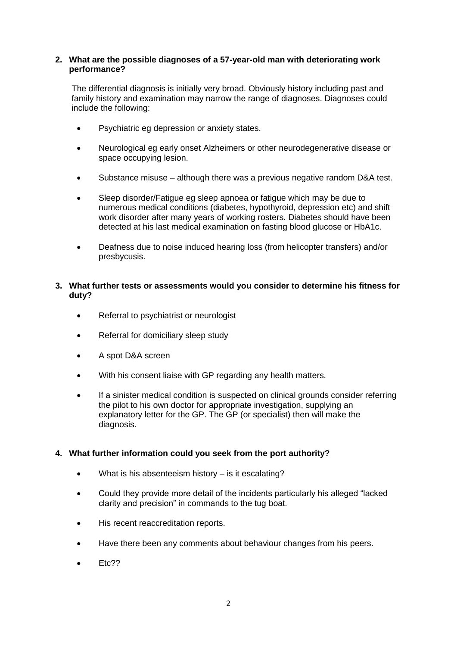## **2. What are the possible diagnoses of a 57-year-old man with deteriorating work performance?**

The differential diagnosis is initially very broad. Obviously history including past and family history and examination may narrow the range of diagnoses. Diagnoses could include the following:

- Psychiatric eg depression or anxiety states.
- Neurological eg early onset Alzheimers or other neurodegenerative disease or space occupying lesion.
- Substance misuse although there was a previous negative random D&A test.
- Sleep disorder/Fatigue eg sleep apnoea or fatigue which may be due to numerous medical conditions (diabetes, hypothyroid, depression etc) and shift work disorder after many years of working rosters. Diabetes should have been detected at his last medical examination on fasting blood glucose or HbA1c.
- Deafness due to noise induced hearing loss (from helicopter transfers) and/or presbycusis.

## **3. What further tests or assessments would you consider to determine his fitness for duty?**

- Referral to psychiatrist or neurologist
- Referral for domiciliary sleep study
- A spot D&A screen
- With his consent liaise with GP regarding any health matters.
- If a sinister medical condition is suspected on clinical grounds consider referring the pilot to his own doctor for appropriate investigation, supplying an explanatory letter for the GP. The GP (or specialist) then will make the diagnosis.

## **4. What further information could you seek from the port authority?**

- What is his absenteeism history is it escalating?
- Could they provide more detail of the incidents particularly his alleged "lacked clarity and precision" in commands to the tug boat.
- His recent reaccreditation reports.
- Have there been any comments about behaviour changes from his peers.
- Etc??